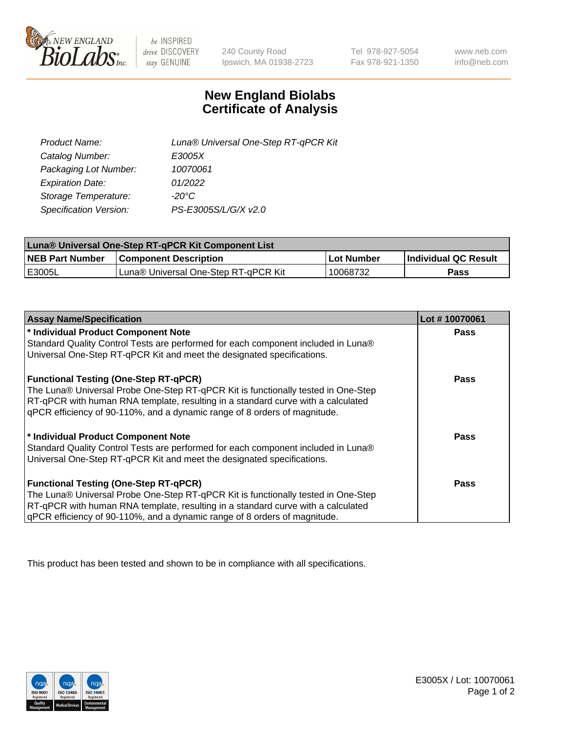

 $be$  INSPIRED drive DISCOVERY stay GENUINE

240 County Road Ipswich, MA 01938-2723 Tel 978-927-5054 Fax 978-921-1350 www.neb.com info@neb.com

## **New England Biolabs Certificate of Analysis**

| Product Name:           | Luna® Universal One-Step RT-qPCR Kit |
|-------------------------|--------------------------------------|
| Catalog Number:         | E3005X                               |
| Packaging Lot Number:   | 10070061                             |
| <b>Expiration Date:</b> | 01/2022                              |
| Storage Temperature:    | $-20^{\circ}$ C                      |
| Specification Version:  | PS-E3005S/L/G/X v2.0                 |

| Luna® Universal One-Step RT-qPCR Kit Component List |                                      |            |                      |  |
|-----------------------------------------------------|--------------------------------------|------------|----------------------|--|
| <b>NEB Part Number</b>                              | <b>Component Description</b>         | Lot Number | Individual QC Result |  |
| I E3005L                                            | Luna® Universal One-Step RT-qPCR Kit | 10068732   | Pass                 |  |

| <b>Assay Name/Specification</b>                                                   | Lot #10070061 |
|-----------------------------------------------------------------------------------|---------------|
| * Individual Product Component Note                                               | <b>Pass</b>   |
| Standard Quality Control Tests are performed for each component included in Luna® |               |
| Universal One-Step RT-qPCR Kit and meet the designated specifications.            |               |
| <b>Functional Testing (One-Step RT-qPCR)</b>                                      | <b>Pass</b>   |
| The Luna® Universal Probe One-Step RT-qPCR Kit is functionally tested in One-Step |               |
| RT-qPCR with human RNA template, resulting in a standard curve with a calculated  |               |
| qPCR efficiency of 90-110%, and a dynamic range of 8 orders of magnitude.         |               |
| * Individual Product Component Note                                               | <b>Pass</b>   |
| Standard Quality Control Tests are performed for each component included in Luna® |               |
| Universal One-Step RT-qPCR Kit and meet the designated specifications.            |               |
| <b>Functional Testing (One-Step RT-qPCR)</b>                                      | Pass          |
| The Luna® Universal Probe One-Step RT-qPCR Kit is functionally tested in One-Step |               |
| RT-qPCR with human RNA template, resulting in a standard curve with a calculated  |               |
| gPCR efficiency of 90-110%, and a dynamic range of 8 orders of magnitude.         |               |

This product has been tested and shown to be in compliance with all specifications.